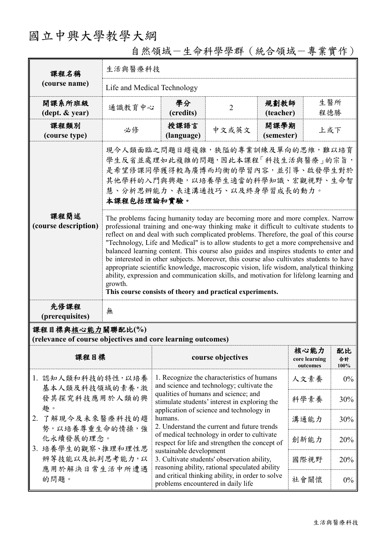## 國立中興大學教學大綱

| 課程名稱                                                                            | 生活與醫療科技                                                                                                                                                                                                                                                                                                                                                                                                                                                                                                                                                                                                                                                                                                                                                                                                 |                                                                                                                                                                                                                                                         |                   |                    |                                   |                  |  |
|---------------------------------------------------------------------------------|---------------------------------------------------------------------------------------------------------------------------------------------------------------------------------------------------------------------------------------------------------------------------------------------------------------------------------------------------------------------------------------------------------------------------------------------------------------------------------------------------------------------------------------------------------------------------------------------------------------------------------------------------------------------------------------------------------------------------------------------------------------------------------------------------------|---------------------------------------------------------------------------------------------------------------------------------------------------------------------------------------------------------------------------------------------------------|-------------------|--------------------|-----------------------------------|------------------|--|
| (course name)                                                                   | Life and Medical Technology                                                                                                                                                                                                                                                                                                                                                                                                                                                                                                                                                                                                                                                                                                                                                                             |                                                                                                                                                                                                                                                         |                   |                    |                                   |                  |  |
| 開課系所班級<br>(dept. & year)                                                        | 通識教育中心                                                                                                                                                                                                                                                                                                                                                                                                                                                                                                                                                                                                                                                                                                                                                                                                  | 學分<br>(credits)                                                                                                                                                                                                                                         | $\overline{2}$    | 規劃教師<br>(teacher)  | 生醫所<br>程德勝                        |                  |  |
| 課程類別<br>(course type)                                                           | 必修                                                                                                                                                                                                                                                                                                                                                                                                                                                                                                                                                                                                                                                                                                                                                                                                      | 授課語言<br>(language)                                                                                                                                                                                                                                      | 中文或英文             | 開課學期<br>(semester) | 上或下                               |                  |  |
|                                                                                 | 現今人類面臨之問題日趨複雜,狹隘的專業訓練及單向的思維,難以培育<br>學生反省並處理如此複雜的問題,因此本課程「科技生活與醫療」的宗旨,<br>是希望修課同學獲得較為廣博而均衡的學習內容,並引導、啟發學生對於<br>其他學科的入門與興趣,以培養學生適當的科學知識、宏觀視野、生命智<br>慧、分析思辨能力、表達溝通技巧、以及終身學習成長的動力。<br>本課程包括理論和實驗。                                                                                                                                                                                                                                                                                                                                                                                                                                                                                                                                                                                                            |                                                                                                                                                                                                                                                         |                   |                    |                                   |                  |  |
| 課程簡述<br>(course description)                                                    | The problems facing humanity today are becoming more and more complex. Narrow<br>professional training and one-way thinking make it difficult to cultivate students to<br>reflect on and deal with such complicated problems. Therefore, the goal of this course<br>"Technology, Life and Medical" is to allow students to get a more comprehensive and<br>balanced learning content. This course also guides and inspires students to enter and<br>be interested in other subjects. Moreover, this course also cultivates students to have<br>appropriate scientific knowledge, macroscopic vision, life wisdom, analytical thinking<br>ability, expression and communication skills, and motivation for lifelong learning and<br>growth.<br>This course consists of theory and practical experiments. |                                                                                                                                                                                                                                                         |                   |                    |                                   |                  |  |
| 先修課程<br>(prerequisites)                                                         | 無                                                                                                                                                                                                                                                                                                                                                                                                                                                                                                                                                                                                                                                                                                                                                                                                       |                                                                                                                                                                                                                                                         |                   |                    |                                   |                  |  |
| 課程目標與核心能力關聯配比(%)<br>(relevance of course objectives and core learning outcomes) |                                                                                                                                                                                                                                                                                                                                                                                                                                                                                                                                                                                                                                                                                                                                                                                                         |                                                                                                                                                                                                                                                         |                   |                    |                                   |                  |  |
| 課程目標                                                                            |                                                                                                                                                                                                                                                                                                                                                                                                                                                                                                                                                                                                                                                                                                                                                                                                         |                                                                                                                                                                                                                                                         | course objectives |                    | 核心能力<br>core learning<br>outcomes | 配比<br>合計<br>100% |  |
| 1. 認知人類和科技的特性,以培養<br>基本人類及科技領域的素養,激<br>發其探究科技應用於人類的興<br>趣。                      |                                                                                                                                                                                                                                                                                                                                                                                                                                                                                                                                                                                                                                                                                                                                                                                                         | 1. Recognize the characteristics of humans<br>and science and technology; cultivate the                                                                                                                                                                 |                   |                    | 人文素養                              | 0%               |  |
|                                                                                 |                                                                                                                                                                                                                                                                                                                                                                                                                                                                                                                                                                                                                                                                                                                                                                                                         | qualities of humans and science; and<br>stimulate students' interest in exploring the                                                                                                                                                                   |                   | 科學素養               | 30%                               |                  |  |
| 2. 了解現今及未來醫療科技的趨                                                                |                                                                                                                                                                                                                                                                                                                                                                                                                                                                                                                                                                                                                                                                                                                                                                                                         | application of science and technology in<br>humans.<br>溝通能力<br>2. Understand the current and future trends                                                                                                                                              |                   |                    |                                   | 30%              |  |
| 勢,以培養尊重生命的情操,強<br>化永續發展的理念。<br>3. 培養學生的觀察、推理和理性思                                |                                                                                                                                                                                                                                                                                                                                                                                                                                                                                                                                                                                                                                                                                                                                                                                                         | of medical technology in order to cultivate<br>創新能力<br>20%<br>respect for life and strengthen the concept of<br>sustainable development<br>3. Cultivate students' observation ability,<br>國際視野<br>20%<br>reasoning ability, rational speculated ability |                   |                    |                                   |                  |  |
| 辨等技能以及批判思考能力,以<br>應用於解決日常生活中所遭遇<br>的問題。                                         |                                                                                                                                                                                                                                                                                                                                                                                                                                                                                                                                                                                                                                                                                                                                                                                                         |                                                                                                                                                                                                                                                         |                   |                    |                                   |                  |  |
|                                                                                 |                                                                                                                                                                                                                                                                                                                                                                                                                                                                                                                                                                                                                                                                                                                                                                                                         | and critical thinking ability, in order to solve<br>problems encountered in daily life                                                                                                                                                                  |                   |                    | 社會關懷                              | 0%               |  |

## 自然領域-生命科學學群(統合領域-專業實作)